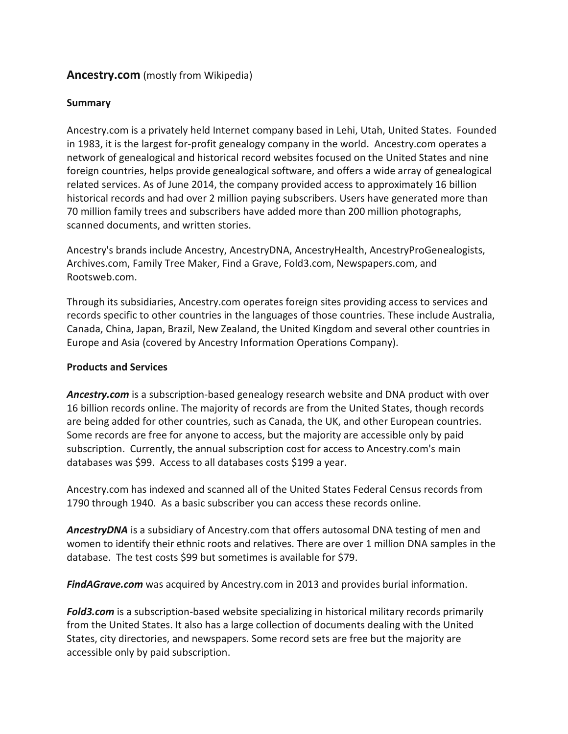# **Ancestry.com** (mostly from Wikipedia)

## **Summary**

Ancestry.com is a privately held Internet company based in Lehi, Utah, United States. Founded in 1983, it is the largest for-profit genealogy company in the world. Ancestry.com operates a network of genealogical and historical record websites focused on the United States and nine foreign countries, helps provide genealogical software, and offers a wide array of genealogical related services. As of June 2014, the company provided access to approximately 16 billion historical records and had over 2 million paying subscribers. Users have generated more than 70 million family trees and subscribers have added more than 200 million photographs, scanned documents, and written stories.

Ancestry's brands include Ancestry, AncestryDNA, AncestryHealth, AncestryProGenealogists, Archives.com, Family Tree Maker, Find a Grave, Fold3.com, Newspapers.com, and Rootsweb.com.

Through its subsidiaries, Ancestry.com operates foreign sites providing access to services and records specific to other countries in the languages of those countries. These include Australia, Canada, China, Japan, Brazil, New Zealand, the United Kingdom and several other countries in Europe and Asia (covered by Ancestry Information Operations Company).

### **Products and Services**

*Ancestry.com* is a subscription-based genealogy research website and DNA product with over 16 billion records online. The majority of records are from the United States, though records are being added for other countries, such as Canada, the UK, and other European countries. Some records are free for anyone to access, but the majority are accessible only by paid subscription. Currently, the annual subscription cost for access to Ancestry.com's main databases was \$99. Access to all databases costs \$199 a year.

Ancestry.com has indexed and scanned all of the United States Federal Census records from 1790 through 1940. As a basic subscriber you can access these records online.

*AncestryDNA* is a subsidiary of Ancestry.com that offers autosomal DNA testing of men and women to identify their ethnic roots and relatives. There are over 1 million DNA samples in the database. The test costs \$99 but sometimes is available for \$79.

*FindAGrave.com* was acquired by Ancestry.com in 2013 and provides burial information.

*Fold3.com* is a subscription-based website specializing in historical military records primarily from the United States. It also has a large collection of documents dealing with the United States, city directories, and newspapers. Some record sets are free but the majority are accessible only by paid subscription.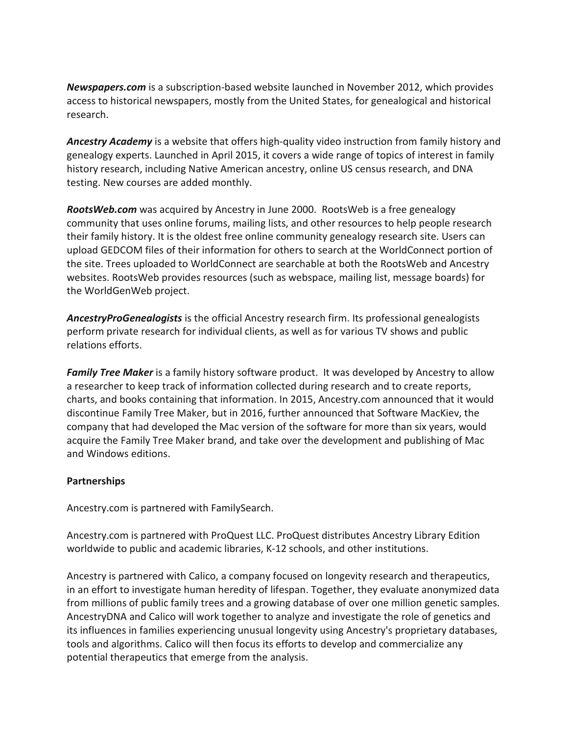*Newspapers.com* is a subscription-based website launched in November 2012, which provides access to historical newspapers, mostly from the United States, for genealogical and historical research.

*Ancestry Academy* is a website that offers high-quality video instruction from family history and genealogy experts. Launched in April 2015, it covers a wide range of topics of interest in family history research, including Native American ancestry, online US census research, and DNA testing. New courses are added monthly.

*RootsWeb.com* was acquired by Ancestry in June 2000. RootsWeb is a free genealogy community that uses online forums, mailing lists, and other resources to help people research their family history. It is the oldest free online community genealogy research site. Users can upload GEDCOM files of their information for others to search at the WorldConnect portion of the site. Trees uploaded to WorldConnect are searchable at both the RootsWeb and Ancestry websites. RootsWeb provides resources (such as webspace, mailing list, message boards) for the WorldGenWeb project.

*AncestryProGenealogists* is the official Ancestry research firm. Its professional genealogists perform private research for individual clients, as well as for various TV shows and public relations efforts.

*Family Tree Maker* is a family history software product. It was developed by Ancestry to allow a researcher to keep track of information collected during research and to create reports, charts, and books containing that information. In 2015, Ancestry.com announced that it would discontinue Family Tree Maker, but in 2016, further announced that Software MacKiev, the company that had developed the Mac version of the software for more than six years, would acquire the Family Tree Maker brand, and take over the development and publishing of Mac and Windows editions.

### **Partnerships**

Ancestry.com is partnered with FamilySearch.

Ancestry.com is partnered with ProQuest LLC. ProQuest distributes Ancestry Library Edition worldwide to public and academic libraries, K-12 schools, and other institutions.

Ancestry is partnered with Calico, a company focused on longevity research and therapeutics, in an effort to investigate human heredity of lifespan. Together, they evaluate anonymized data from millions of public family trees and a growing database of over one million genetic samples. AncestryDNA and Calico will work together to analyze and investigate the role of genetics and its influences in families experiencing unusual longevity using Ancestry's proprietary databases, tools and algorithms. Calico will then focus its efforts to develop and commercialize any potential therapeutics that emerge from the analysis.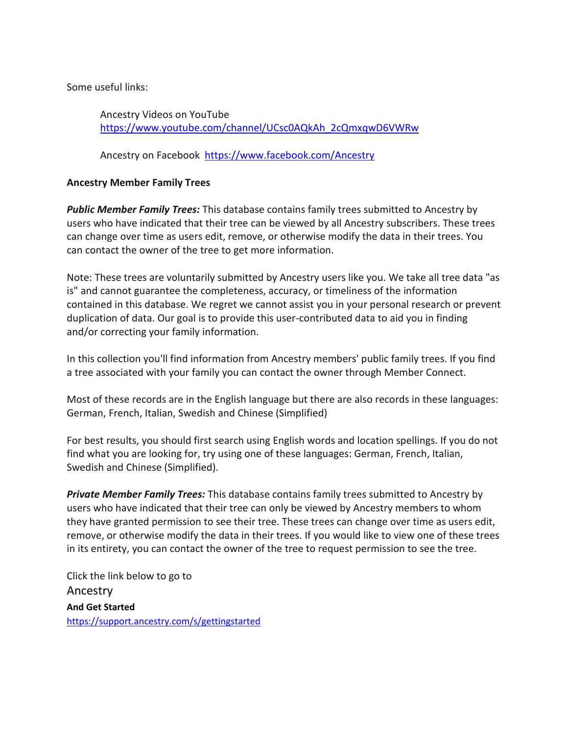Some useful links:

Ancestry Videos on YouTube [https://www.youtube.com/channel/UCsc0AQkAh\\_2cQmxqwD6VWRw](https://www.youtube.com/channel/UCsc0AQkAh_2cQmxqwD6VWRw)

Ancestry on Facebook <https://www.facebook.com/Ancestry>

# **Ancestry Member Family Trees**

*Public Member Family Trees:* This database contains family trees submitted to Ancestry by users who have indicated that their tree can be viewed by all Ancestry subscribers. These trees can change over time as users edit, remove, or otherwise modify the data in their trees. You can contact the owner of the tree to get more information.

Note: These trees are voluntarily submitted by Ancestry users like you. We take all tree data "as is" and cannot guarantee the completeness, accuracy, or timeliness of the information contained in this database. We regret we cannot assist you in your personal research or prevent duplication of data. Our goal is to provide this user-contributed data to aid you in finding and/or correcting your family information.

In this collection you'll find information from Ancestry members' public family trees. If you find a tree associated with your family you can contact the owner through Member Connect.

Most of these records are in the English language but there are also records in these languages: German, French, Italian, Swedish and Chinese (Simplified)

For best results, you should first search using English words and location spellings. If you do not find what you are looking for, try using one of these languages: German, French, Italian, Swedish and Chinese (Simplified).

*Private Member Family Trees:* This database contains family trees submitted to Ancestry by users who have indicated that their tree can only be viewed by Ancestry members to whom they have granted permission to see their tree. These trees can change over time as users edit, remove, or otherwise modify the data in their trees. If you would like to view one of these trees in its entirety, you can contact the owner of the tree to request permission to see the tree.

Click the link below to go to Ancestry **And Get Started** <https://support.ancestry.com/s/gettingstarted>